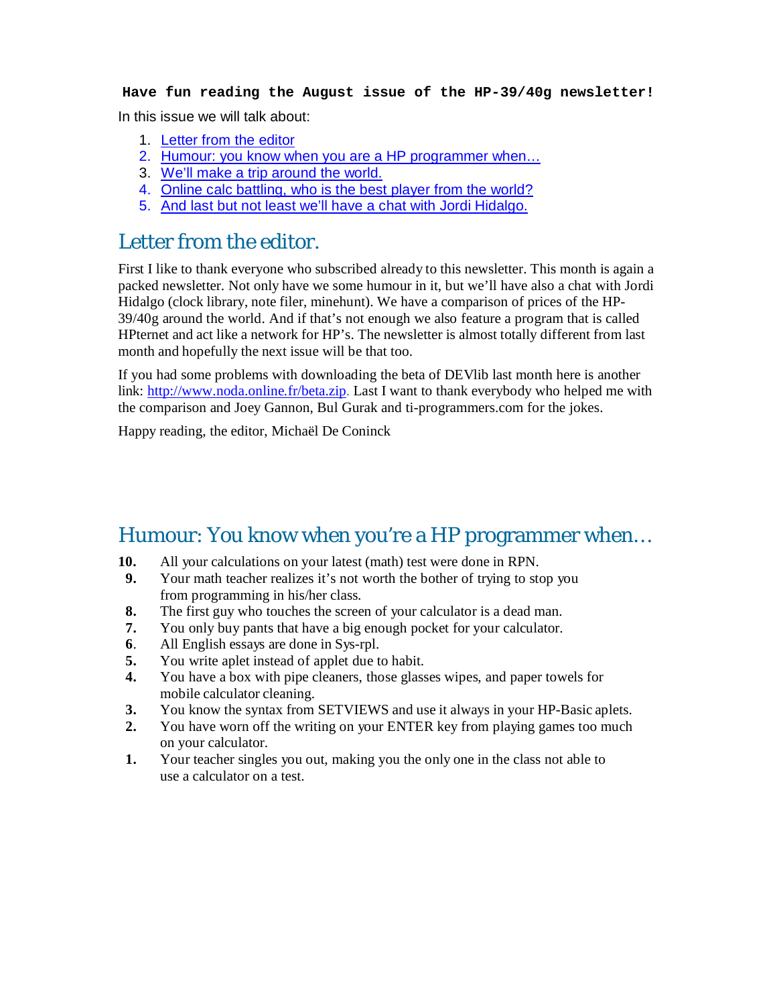#### **Have fun reading the August issue of the HP-39/40g newsletter!**

In this issue we will talk about:

- 1. Letter from the editor
- 2. Humour: you know when you are a HP programmer when...
- 3. We'll make a trip around the world.
- 4. Online calc battling, who is the best player from the world?
- 5. And last but not least we'll have a chat with Jordi Hidalgo.

#### Letter from the editor.

First I like to thank everyone who subscribed already to this newsletter. This month is again a packed newsletter. Not only have we some humour in it, but we'll have also a chat with Jordi Hidalgo (clock library, note filer, minehunt). We have a comparison of prices of the HP-39/40g around the world. And if that's not enough we also feature a program that is called HPternet and act like a network for HP's. The newsletter is almost totally different from last month and hopefully the next issue will be that too.

If you had some problems with downloading the beta of DEVlib last month here is another link: http://www.noda.online.fr/beta.zip. Last I want to thank everybody who helped me with the comparison and Joey Gannon, Bul Gurak and ti-programmers.com for the jokes.

Happy reading, the editor, Michaël De Coninck

### Humour: You know when you're a HP programmer when…

- **10.** All your calculations on your latest (math) test were done in RPN.
- **9.** Your math teacher realizes it's not worth the bother of trying to stop you from programming in his/her class.
- **8.** The first guy who touches the screen of your calculator is a dead man.
- **7.** You only buy pants that have a big enough pocket for your calculator.
- **6**. All English essays are done in Sys-rpl.
- **5.** You write aplet instead of applet due to habit.
- **4.** You have a box with pipe cleaners, those glasses wipes, and paper towels for mobile calculator cleaning.
- **3.** You know the syntax from SETVIEWS and use it always in your HP-Basic aplets.
- **2.** You have worn off the writing on your ENTER key from playing games too much on your calculator.
- **1.** Your teacher singles you out, making you the only one in the class not able to use a calculator on a test.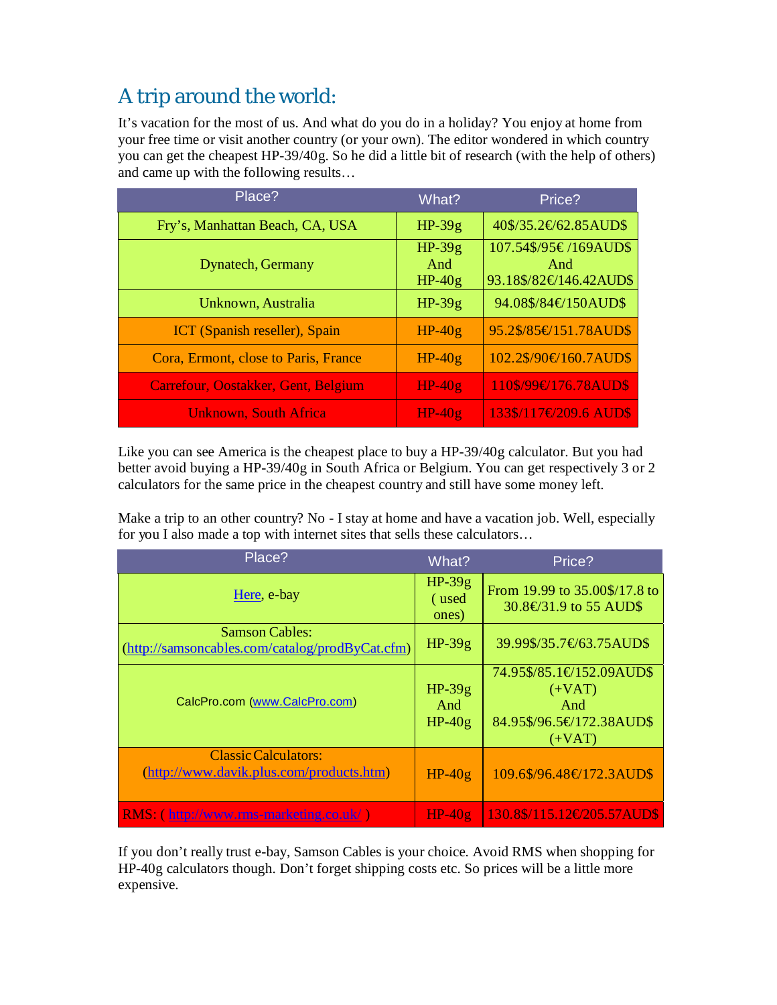# A trip around the world:

It's vacation for the most of us. And what do you do in a holiday? You enjoy at home from your free time or visit another country (or your own). The editor wondered in which country you can get the cheapest HP-39/40g. So he did a little bit of research (with the help of others) and came up with the following results…

| Place?                               | What?                       | Price?                                                 |
|--------------------------------------|-----------------------------|--------------------------------------------------------|
| Fry's, Manhattan Beach, CA, USA      | $HP-39g$                    | $40\frac{$}{35.2}$ $62.85$ AUD\$                       |
| <b>Dynatech, Germany</b>             | $HP-39g$<br>And<br>$HP-40g$ | 107.54\$/95€/169AUD\$<br>And<br>93.18\$/82€146.42AUD\$ |
| Unknown, Australia                   | $HP-39g$                    | 94.08\$/84€150AUD\$                                    |
| ICT (Spanish reseller), Spain        | $HP-40g$                    | 95.2\$/85€151.78AUD\$                                  |
| Cora, Ermont, close to Paris, France | $HP-40g$                    | 102.2\$/90€160.7AUD\$                                  |
| Carrefour, Oostakker, Gent, Belgium  | $HP-40g$                    | 110\$/99€176.78AUD\$                                   |
| <b>Unknown, South Africa</b>         | $HP-40g$                    | $133\frac{1}{17}$ $7209.6$ AUD\$                       |

Like you can see America is the cheapest place to buy a HP-39/40g calculator. But you had better avoid buying a HP-39/40g in South Africa or Belgium. You can get respectively 3 or 2 calculators for the same price in the cheapest country and still have some money left.

Make a trip to an other country? No - I stay at home and have a vacation job. Well, especially for you I also made a top with internet sites that sells these calculators…

| Place?                                                                   | What?                       | Price?                                                                              |
|--------------------------------------------------------------------------|-----------------------------|-------------------------------------------------------------------------------------|
| Here, e-bay                                                              | $HP-39g$<br>(used<br>ones)  | From 19.99 to 35.00\$/17.8 to<br>30.8€31.9 to 55 AUD\$                              |
| <b>Samson Cables:</b><br>(http://samsoncables.com/catalog/prodByCat.cfm) | $HP-39g$                    | 39.99\$/35.7€63.75AUD\$                                                             |
| CalcPro.com (www.CalcPro.com)                                            | $HP-39g$<br>And<br>$HP-40g$ | 74.95\$/85.1€152.09AUD\$<br>$(+VAT)$<br>And<br>84.95\$/96.5€172.38AUD\$<br>$(+VAT)$ |
| <b>Classic Calculators:</b><br>(http://www.davik.plus.com/products.htm)  | $HP-40g$                    | 109.6\$/96.48€172.3AUD\$                                                            |
| RMS: (http://www.rms-marketing.co.uk/)                                   | $HP-40g$                    | 130.8\$/115.12\state-130.8\$/115.12\state-1205.57AUD\$                              |

If you don't really trust e-bay, Samson Cables is your choice. Avoid RMS when shopping for HP-40g calculators though. Don't forget shipping costs etc. So prices will be a little more expensive.